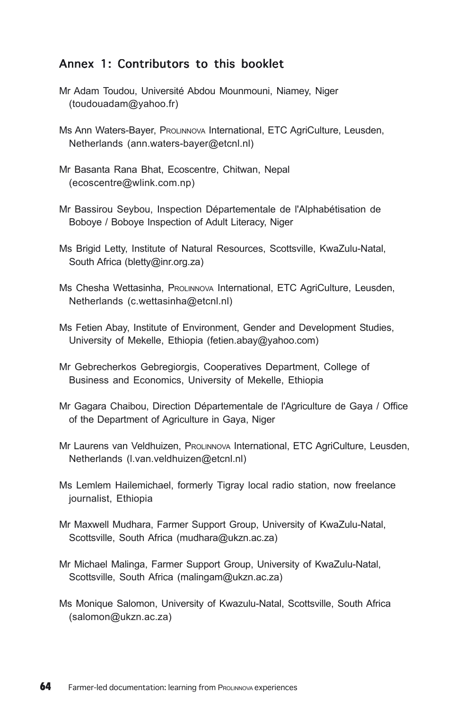## Annex 1: Contributors to this booklet

- Mr Adam Toudou, Université Abdou Mounmouni, Niamey, Niger (toudouadam@yahoo.fr)
- Ms Ann Waters-Bayer, PROLINNOVA International, ETC AgriCulture, Leusden, Netherlands (ann.waters-bayer@etcnl.nl)
- Mr Basanta Rana Bhat, Ecoscentre, Chitwan, Nepal (ecoscentre@wlink.com.np)
- Mr Bassirou Seybou, Inspection Départementale de l'Alphabétisation de Boboye / Boboye Inspection of Adult Literacy, Niger
- Ms Brigid Letty, Institute of Natural Resources, Scottsville, KwaZulu-Natal, South Africa (bletty@inr.org.za)
- Ms Chesha Wettasinha, PROLINNOVA International, ETC AgriCulture, Leusden, Netherlands (c.wettasinha@etcnl.nl)
- Ms Fetien Abay, Institute of Environment, Gender and Development Studies, University of Mekelle, Ethiopia (fetien.abay@yahoo.com)
- Mr Gebrecherkos Gebregiorgis, Cooperatives Department, College of Business and Economics, University of Mekelle, Ethiopia
- Mr Gagara Chaibou, Direction Départementale de l'Agriculture de Gaya / Office of the Department of Agriculture in Gaya, Niger
- Mr Laurens van Veldhuizen, PROLINNOVA International, ETC AgriCulture, Leusden, Netherlands (l.van.veldhuizen@etcnl.nl)
- Ms Lemlem Hailemichael, formerly Tigray local radio station, now freelance journalist, Ethiopia
- Mr Maxwell Mudhara, Farmer Support Group, University of KwaZulu-Natal, Scottsville, South Africa (mudhara@ukzn.ac.za)
- Mr Michael Malinga, Farmer Support Group, University of KwaZulu-Natal, Scottsville, South Africa (malingam@ukzn.ac.za)
- Ms Monique Salomon, University of Kwazulu-Natal, Scottsville, South Africa (salomon@ukzn.ac.za)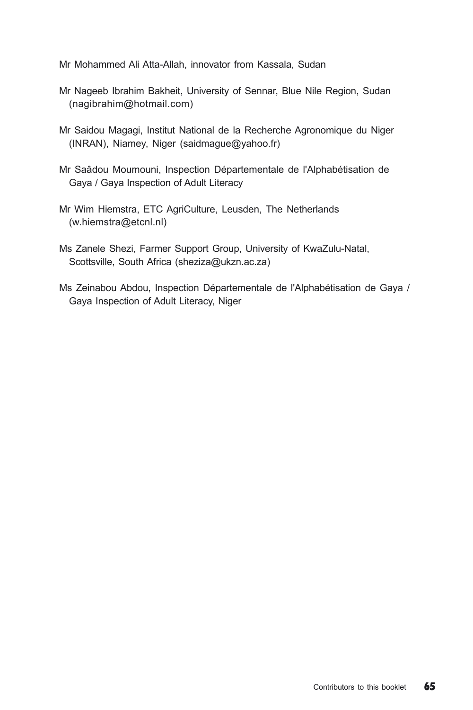Mr Mohammed Ali Atta-Allah, innovator from Kassala, Sudan

- Mr Nageeb Ibrahim Bakheit, University of Sennar, Blue Nile Region, Sudan (nagibrahim@hotmail.com)
- Mr Saidou Magagi, Institut National de la Recherche Agronomique du Niger (INRAN), Niamey, Niger (saidmague@yahoo.fr)
- Mr Saâdou Moumouni, Inspection Départementale de l'Alphabétisation de Gaya / Gaya Inspection of Adult Literacy
- Mr Wim Hiemstra, ETC AgriCulture, Leusden, The Netherlands (w.hiemstra@etcnl.nl)
- Ms Zanele Shezi, Farmer Support Group, University of KwaZulu-Natal, Scottsville, South Africa (sheziza@ukzn.ac.za)
- Ms Zeinabou Abdou, Inspection Départementale de l'Alphabétisation de Gaya / Gaya Inspection of Adult Literacy, Niger